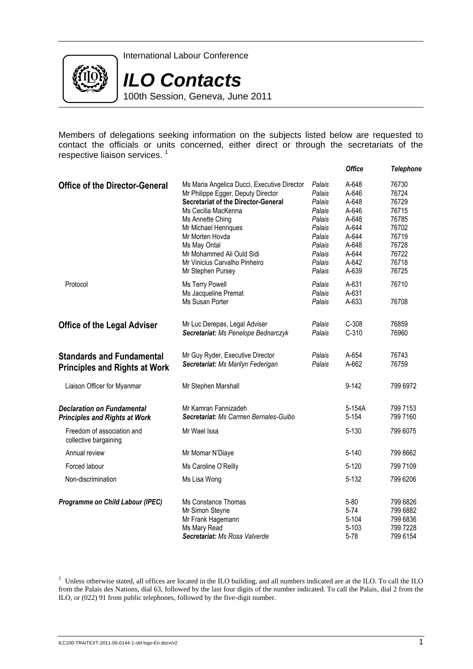

International Labour Conference



100th Session, Geneva, June 2011

Members of delegations seeking information on the subjects listed below are requested to contact the officials or units concerned, either direct or through the secretariats of the respective liaison services.<sup>1</sup>

|                                                     |                                             |                  | <b>Office</b>  | <b>Telephone</b> |
|-----------------------------------------------------|---------------------------------------------|------------------|----------------|------------------|
| <b>Office of the Director-General</b>               | Ms Maria Angelica Ducci, Executive Director | Palais           | A-648          | 76730            |
|                                                     | Mr Philippe Egger, Deputy Director          | Palais           | A-646          | 76724            |
|                                                     | <b>Secretariat of the Director-General</b>  | Palais           | A-648          | 76729            |
|                                                     | Ms Cecilia MacKenna                         | Palais           | A-646          | 76715            |
|                                                     | Ms Annette Ching                            | Palais<br>Palais | A-648<br>A-644 | 76785<br>76702   |
|                                                     | Mr Michael Henriques<br>Mr Morten Hovda     | Palais           | A-644          | 76719            |
|                                                     | Ms May Ontal                                | Palais           | A-648          | 76728            |
|                                                     | Mr Mohammed Ali Ould Sidi                   | Palais           | A-644          | 76722            |
|                                                     | Mr Vinicius Carvalho Pinheiro               | Palais           | A-642          | 76718            |
|                                                     | Mr Stephen Pursey                           | Palais           | A-639          | 76725            |
| Protocol                                            | Ms Terry Powell                             | Palais           | A-631          | 76710            |
|                                                     | Ms Jacqueline Premat                        | Palais           | A-631          |                  |
|                                                     | Ms Susan Porter                             | Palais           | A-633          | 76708            |
| <b>Office of the Legal Adviser</b>                  | Mr Luc Derepas, Legal Adviser               | Palais           | $C-308$        | 76859            |
|                                                     | Secretariat: Ms Penelope Bednarczyk         | Palais           | $C-310$        | 76960            |
| <b>Standards and Fundamental</b>                    | Mr Guy Ryder, Executive Director            | Palais           | A-654          | 76743            |
| <b>Principles and Rights at Work</b>                | Secretariat: Ms Marilyn Federigan           | Palais           | A-662          | 76759            |
| Liaison Officer for Myanmar                         | Mr Stephen Marshall                         |                  | $9 - 142$      | 799 6972         |
| <b>Declaration on Fundamental</b>                   | Mr Kamran Fannizadeh                        |                  | 5-154A         | 799 7153         |
| <b>Principles and Rights at Work</b>                | Secretariat: Ms Carmen Bernales-Guibo       |                  | $5 - 154$      | 799 7160         |
| Freedom of association and<br>collective bargaining | Mr Wael Issa                                |                  | $5 - 130$      | 799 6075         |
| Annual review                                       | Mr Momar N'Diaye                            |                  | 5-140          | 799 8662         |
| Forced labour                                       | Ms Caroline O'Reilly                        |                  | $5 - 120$      | 799 7109         |
| Non-discrimination                                  | Ms Lisa Wong                                |                  | $5 - 132$      | 799 6206         |
| Programme on Child Labour (IPEC)                    | Ms Constance Thomas                         |                  | $5 - 80$       | 799 6826         |
|                                                     | Mr Simon Steyne                             |                  | $5 - 74$       | 799 6882         |
|                                                     | Mr Frank Hagemann                           |                  | 5-104          | 799 6836         |
|                                                     | Ms Mary Read                                |                  | $5 - 103$      | 799 7228         |
|                                                     | Secretariat: Ms Rosa Valverde               |                  | $5 - 78$       | 799 6154         |

<sup>1</sup> Unless otherwise stated, all offices are located in the ILO building, and all numbers indicated are at the ILO. To call the ILO from the Palais des Nations, dial 63, followed by the last four digits of the number indicated. To call the Palais, dial 2 from the ILO, or (022) 91 from public telephones, followed by the five-digit number.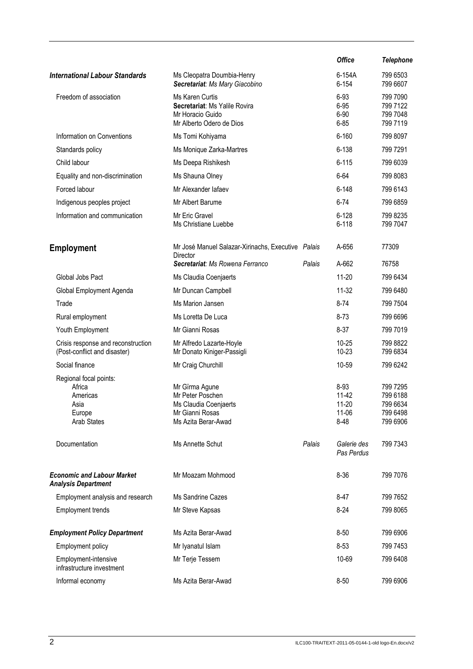|                                                                                      |                                                                                                       |        | <b>Office</b>                                         | <b>Telephone</b>                                         |
|--------------------------------------------------------------------------------------|-------------------------------------------------------------------------------------------------------|--------|-------------------------------------------------------|----------------------------------------------------------|
| <b>International Labour Standards</b>                                                | Ms Cleopatra Doumbia-Henry<br>Secretariat: Ms Mary Giacobino                                          |        | 6-154A<br>$6 - 154$                                   | 799 6503<br>799 6607                                     |
| Freedom of association                                                               | Ms Karen Curtis<br>Secretariat: Ms Yalile Rovira<br>Mr Horacio Guido<br>Mr Alberto Odero de Dios      |        | 6-93<br>6-95<br>$6 - 90$<br>$6 - 85$                  | 799 7090<br>799 7122<br>799 7048<br>799 7119             |
| Information on Conventions                                                           | Ms Tomi Kohiyama                                                                                      |        | $6 - 160$                                             | 799 8097                                                 |
| Standards policy                                                                     | Ms Monique Zarka-Martres                                                                              |        | $6 - 138$                                             | 799 7291                                                 |
| Child labour                                                                         | Ms Deepa Rishikesh                                                                                    |        | $6 - 115$                                             | 799 6039                                                 |
| Equality and non-discrimination                                                      | Ms Shauna Olney                                                                                       |        | 6-64                                                  | 799 8083                                                 |
| Forced labour                                                                        | Mr Alexander lafaev                                                                                   |        | $6 - 148$                                             | 799 6143                                                 |
| Indigenous peoples project                                                           | Mr Albert Barume                                                                                      |        | $6 - 74$                                              | 799 6859                                                 |
| Information and communication                                                        | Mr Eric Gravel<br>Ms Christiane Luebbe                                                                |        | $6 - 128$<br>$6 - 118$                                | 799 8235<br>799 7047                                     |
| <b>Employment</b>                                                                    | Mr José Manuel Salazar-Xirinachs, Executive Palais<br>Director                                        |        | A-656                                                 | 77309                                                    |
|                                                                                      | Secretariat: Ms Rowena Ferranco                                                                       | Palais | A-662                                                 | 76758                                                    |
| Global Jobs Pact                                                                     | Ms Claudia Coenjaerts                                                                                 |        | $11 - 20$                                             | 799 6434                                                 |
| Global Employment Agenda                                                             | Mr Duncan Campbell                                                                                    |        | $11 - 32$                                             | 799 6480                                                 |
| Trade                                                                                | Ms Marion Jansen                                                                                      |        | $8 - 74$                                              | 799 7504                                                 |
| Rural employment                                                                     | Ms Loretta De Luca                                                                                    |        | $8 - 73$                                              | 799 6696                                                 |
| Youth Employment                                                                     | Mr Gianni Rosas                                                                                       |        | $8 - 37$                                              | 799 7019                                                 |
| Crisis response and reconstruction<br>(Post-conflict and disaster)                   | Mr Alfredo Lazarte-Hoyle<br>Mr Donato Kiniger-Passigli                                                |        | $10 - 25$<br>$10 - 23$                                | 799 8822<br>799 6834                                     |
| Social finance                                                                       | Mr Craig Churchill                                                                                    |        | 10-59                                                 | 799 6242                                                 |
| Regional focal points:<br>Africa<br>Americas<br>Asia<br>Europe<br><b>Arab States</b> | Mr Gïrma Agune<br>Mr Peter Poschen<br>Ms Claudia Coenjaerts<br>Mr Gianni Rosas<br>Ms Azita Berar-Awad |        | 8-93<br>$11 - 42$<br>$11 - 20$<br>$11 - 06$<br>$8-48$ | 799 7295<br>799 6188<br>799 6634<br>799 6498<br>799 6906 |
| Documentation                                                                        | Ms Annette Schut                                                                                      | Palais | Galerie des<br>Pas Perdus                             | 799 7343                                                 |
| <b>Economic and Labour Market</b><br><b>Analysis Department</b>                      | Mr Moazam Mohmood                                                                                     |        | $8 - 36$                                              | 799 7076                                                 |
| Employment analysis and research                                                     | Ms Sandrine Cazes                                                                                     |        | $8 - 47$                                              | 799 7652                                                 |
| <b>Employment trends</b>                                                             | Mr Steve Kapsas                                                                                       |        | $8-24$                                                | 799 8065                                                 |
| <b>Employment Policy Department</b>                                                  | Ms Azita Berar-Awad                                                                                   |        | $8 - 50$                                              | 799 6906                                                 |
| Employment policy                                                                    | Mr Iyanatul Islam                                                                                     |        | $8 - 53$                                              | 799 7453                                                 |
| Employment-intensive<br>infrastructure investment                                    | Mr Terje Tessem                                                                                       |        | 10-69                                                 | 799 6408                                                 |
| Informal economy                                                                     | Ms Azita Berar-Awad                                                                                   |        | $8 - 50$                                              | 799 6906                                                 |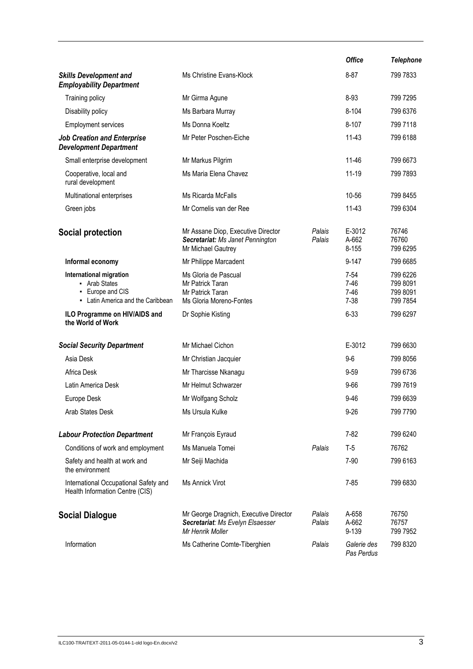|                                                                                                   |                                                                                                |                  | <b>Office</b>                                | <b>Telephone</b>                             |
|---------------------------------------------------------------------------------------------------|------------------------------------------------------------------------------------------------|------------------|----------------------------------------------|----------------------------------------------|
| <b>Skills Development and</b><br><b>Employability Department</b>                                  | Ms Christine Evans-Klock                                                                       |                  | $8 - 87$                                     | 799 7833                                     |
| Training policy                                                                                   | Mr Girma Agune                                                                                 |                  | 8-93                                         | 799 7295                                     |
| Disability policy                                                                                 | Ms Barbara Murray                                                                              |                  | $8 - 104$                                    | 799 6376                                     |
| <b>Employment services</b>                                                                        | Ms Donna Koeltz                                                                                |                  | $8 - 107$                                    | 799 7118                                     |
| <b>Job Creation and Enterprise</b><br><b>Development Department</b>                               | Mr Peter Poschen-Eiche                                                                         |                  | $11-43$                                      | 799 6188                                     |
| Small enterprise development                                                                      | Mr Markus Pilgrim                                                                              |                  | 11-46                                        | 799 6673                                     |
| Cooperative, local and<br>rural development                                                       | Ms Maria Elena Chavez                                                                          |                  | 11-19                                        | 799 7893                                     |
| Multinational enterprises                                                                         | Ms Ricarda McFalls                                                                             |                  | 10-56                                        | 799 8455                                     |
| Green jobs                                                                                        | Mr Cornelis van der Ree                                                                        |                  | $11-43$                                      | 799 6304                                     |
| Social protection                                                                                 | Mr Assane Diop, Executive Director<br>Secretariat: Ms Janet Pennington<br>Mr Michael Gautrey   | Palais<br>Palais | E-3012<br>A-662<br>$8 - 155$                 | 76746<br>76760<br>799 6295                   |
| Informal economy                                                                                  | Mr Philippe Marcadent                                                                          |                  | $9 - 147$                                    | 799 6685                                     |
| International migration<br>• Arab States<br>- Europe and CIS<br>- Latin America and the Caribbean | Ms Gloria de Pascual<br>Mr Patrick Taran<br>Mr Patrick Taran<br>Ms Gloria Moreno-Fontes        |                  | $7 - 54$<br>$7 - 46$<br>$7 - 46$<br>$7 - 38$ | 799 6226<br>799 8091<br>799 8091<br>799 7854 |
| ILO Programme on HIV/AIDS and<br>the World of Work                                                | Dr Sophie Kisting                                                                              |                  | $6 - 33$                                     | 799 6297                                     |
| <b>Social Security Department</b>                                                                 | Mr Michael Cichon                                                                              |                  | E-3012                                       | 799 6630                                     |
| Asia Desk                                                                                         | Mr Christian Jacquier                                                                          |                  | $9-6$                                        | 799 8056                                     |
| Africa Desk                                                                                       | Mr Tharcisse Nkanagu                                                                           |                  | $9 - 59$                                     | 799 6736                                     |
| Latin America Desk                                                                                | Mr Helmut Schwarzer                                                                            |                  | $9 - 66$                                     | 799 7619                                     |
| Europe Desk                                                                                       | Mr Wolfgang Scholz                                                                             |                  | $9 - 46$                                     | 799 6639                                     |
| Arab States Desk                                                                                  | Ms Ursula Kulke                                                                                |                  | $9 - 26$                                     | 799 7790                                     |
| <b>Labour Protection Department</b>                                                               | Mr François Eyraud                                                                             |                  | $7 - 82$                                     | 799 6240                                     |
| Conditions of work and employment                                                                 | Ms Manuela Tomei                                                                               | Palais           | $T-5$                                        | 76762                                        |
| Safety and health at work and<br>the environment                                                  | Mr Seiji Machida                                                                               |                  | $7 - 90$                                     | 799 6163                                     |
| International Occupational Safety and<br>Health Information Centre (CIS)                          | <b>Ms Annick Virot</b>                                                                         |                  | $7 - 85$                                     | 799 6830                                     |
| <b>Social Dialogue</b>                                                                            | Mr George Dragnich, Executive Director<br>Secretariat: Ms Evelyn Elsaesser<br>Mr Henrik Moller | Palais<br>Palais | A-658<br>A-662<br>9-139                      | 76750<br>76757<br>799 7952                   |
| Information                                                                                       | Ms Catherine Comte-Tiberghien                                                                  | Palais           | Galerie des<br>Pas Perdus                    | 799 8320                                     |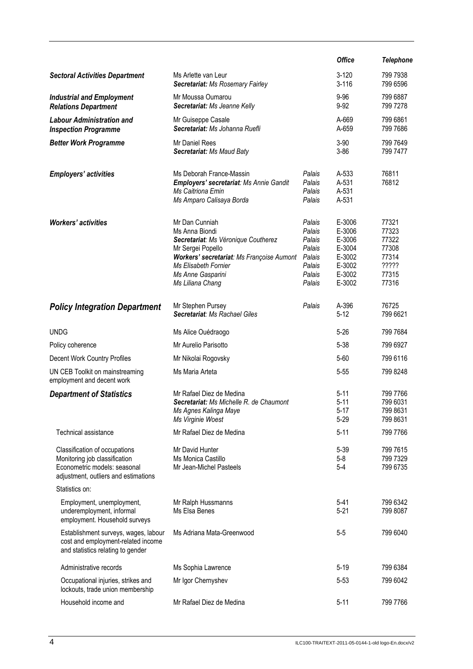|                                                                                                                                        |                                                                                                                                                                                                            |                                                                              | <b>Office</b>                                                                | <b>Telephone</b>                                                     |
|----------------------------------------------------------------------------------------------------------------------------------------|------------------------------------------------------------------------------------------------------------------------------------------------------------------------------------------------------------|------------------------------------------------------------------------------|------------------------------------------------------------------------------|----------------------------------------------------------------------|
| <b>Sectoral Activities Department</b>                                                                                                  | Ms Arlette van Leur<br>Secretariat: Ms Rosemary Fairley                                                                                                                                                    |                                                                              | $3 - 120$<br>$3 - 116$                                                       | 799 7938<br>799 6596                                                 |
| <b>Industrial and Employment</b><br><b>Relations Department</b>                                                                        | Mr Moussa Oumarou<br>Secretariat: Ms Jeanne Kelly                                                                                                                                                          |                                                                              | $9 - 96$<br>$9 - 92$                                                         | 799 6887<br>799 7278                                                 |
| <b>Labour Administration and</b><br><b>Inspection Programme</b>                                                                        | Mr Guiseppe Casale<br>Secretariat: Ms Johanna Ruefli                                                                                                                                                       |                                                                              | A-669<br>A-659                                                               | 799 6861<br>799 7686                                                 |
| <b>Better Work Programme</b>                                                                                                           | Mr Daniel Rees<br>Secretariat: Ms Maud Baty                                                                                                                                                                |                                                                              | $3 - 90$<br>$3 - 86$                                                         | 799 7649<br>799 7477                                                 |
| <b>Employers' activities</b>                                                                                                           | Ms Deborah France-Massin<br>Employers' secretariat: Ms Annie Gandit<br>Ms Caitriona Emin<br>Ms Amparo Calisaya Borda                                                                                       | Palais<br>Palais<br>Palais<br>Palais                                         | A-533<br>A-531<br>A-531<br>A-531                                             | 76811<br>76812                                                       |
| <b>Workers' activities</b>                                                                                                             | Mr Dan Cunniah<br>Ms Anna Biondi<br>Secretariat: Ms Véronique Coutherez<br>Mr Sergei Popello<br>Workers' secretariat: Ms Françoise Aumont<br>Ms Elisabeth Fornier<br>Ms Anne Gasparini<br>Ms Liliana Chang | Palais<br>Palais<br>Palais<br>Palais<br>Palais<br>Palais<br>Palais<br>Palais | E-3006<br>E-3006<br>E-3006<br>E-3004<br>E-3002<br>E-3002<br>E-3002<br>E-3002 | 77321<br>77323<br>77322<br>77308<br>77314<br>?????<br>77315<br>77316 |
| <b>Policy Integration Department</b>                                                                                                   | Mr Stephen Pursey<br>Secretariat: Ms Rachael Giles                                                                                                                                                         | Palais                                                                       | A-396<br>$5 - 12$                                                            | 76725<br>799 6621                                                    |
| <b>UNDG</b>                                                                                                                            | Ms Alice Ouédraogo                                                                                                                                                                                         |                                                                              | $5 - 26$                                                                     | 799 7684                                                             |
| Policy coherence                                                                                                                       | Mr Aurelio Parisotto                                                                                                                                                                                       |                                                                              | $5 - 38$                                                                     | 799 6927                                                             |
| Decent Work Country Profiles                                                                                                           | Mr Nikolai Rogovsky                                                                                                                                                                                        |                                                                              | $5 - 60$                                                                     | 799 6116                                                             |
| UN CEB Toolkit on mainstreaming<br>employment and decent work                                                                          | Ms Maria Arteta                                                                                                                                                                                            |                                                                              | $5 - 55$                                                                     | 799 8248                                                             |
| <b>Department of Statistics</b>                                                                                                        | Mr Rafael Diez de Medina<br>Secretariat: Ms Michelle R. de Chaumont<br>Ms Agnes Kalinga Maye<br>Ms Virginie Woest                                                                                          |                                                                              | 5-11<br>$5 - 11$<br>$5 - 17$<br>$5 - 29$                                     | 799 7766<br>799 6031<br>799 8631<br>799 8631                         |
| Technical assistance                                                                                                                   | Mr Rafael Diez de Medina                                                                                                                                                                                   |                                                                              | $5 - 11$                                                                     | 799 7766                                                             |
| Classification of occupations<br>Monitoring job classification<br>Econometric models: seasonal<br>adjustment, outliers and estimations | Mr David Hunter<br>Ms Monica Castillo<br>Mr Jean-Michel Pasteels                                                                                                                                           |                                                                              | $5 - 39$<br>$5-8$<br>$5 - 4$                                                 | 799 7615<br>799 7329<br>799 6735                                     |
| Statistics on:                                                                                                                         |                                                                                                                                                                                                            |                                                                              |                                                                              |                                                                      |
| Employment, unemployment,<br>underemployment, informal<br>employment. Household surveys                                                | Mr Ralph Hussmanns<br>Ms Elsa Benes                                                                                                                                                                        |                                                                              | $5 - 41$<br>$5 - 21$                                                         | 799 6342<br>799 8087                                                 |
| Establishment surveys, wages, labour<br>cost and employment-related income<br>and statistics relating to gender                        | Ms Adriana Mata-Greenwood                                                                                                                                                                                  |                                                                              | $5 - 5$                                                                      | 799 6040                                                             |
| Administrative records                                                                                                                 | Ms Sophia Lawrence                                                                                                                                                                                         |                                                                              | $5 - 19$                                                                     | 799 6384                                                             |
| Occupational injuries, strikes and<br>lockouts, trade union membership                                                                 | Mr Igor Chernyshev                                                                                                                                                                                         |                                                                              | $5 - 53$                                                                     | 799 6042                                                             |
| Household income and                                                                                                                   | Mr Rafael Diez de Medina                                                                                                                                                                                   |                                                                              | $5 - 11$                                                                     | 799 7766                                                             |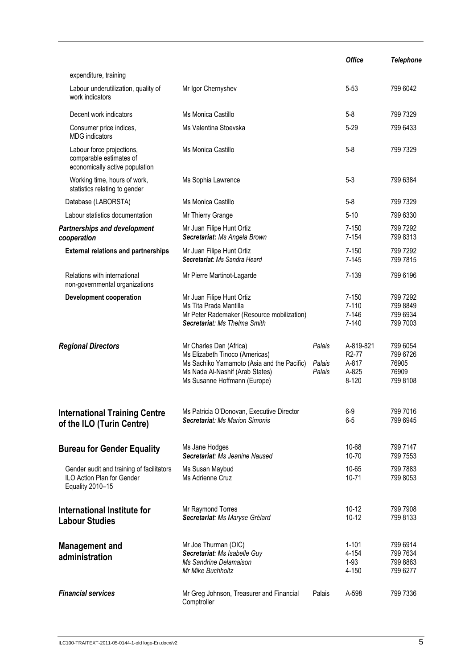|                                                                                             |                                                                                                                                                                            |                            | <b>Office</b>                                                  | <b>Telephone</b>                                   |
|---------------------------------------------------------------------------------------------|----------------------------------------------------------------------------------------------------------------------------------------------------------------------------|----------------------------|----------------------------------------------------------------|----------------------------------------------------|
| expenditure, training                                                                       |                                                                                                                                                                            |                            |                                                                |                                                    |
| Labour underutilization, quality of<br>work indicators                                      | Mr Igor Chernyshev                                                                                                                                                         |                            | $5 - 53$                                                       | 799 6042                                           |
| Decent work indicators                                                                      | Ms Monica Castillo                                                                                                                                                         |                            | $5 - 8$                                                        | 799 7329                                           |
| Consumer price indices,<br><b>MDG</b> indicators                                            | Ms Valentina Stoevska                                                                                                                                                      |                            | $5 - 29$                                                       | 799 6433                                           |
| Labour force projections,<br>comparable estimates of<br>economically active population      | Ms Monica Castillo                                                                                                                                                         |                            | $5 - 8$                                                        | 799 7329                                           |
| Working time, hours of work,<br>statistics relating to gender                               | Ms Sophia Lawrence                                                                                                                                                         |                            | $5 - 3$                                                        | 799 6384                                           |
| Database (LABORSTA)                                                                         | Ms Monica Castillo                                                                                                                                                         |                            | $5 - 8$                                                        | 799 7329                                           |
| Labour statistics documentation                                                             | Mr Thierry Grange                                                                                                                                                          |                            | $5 - 10$                                                       | 799 6330                                           |
| <b>Partnerships and development</b><br>cooperation                                          | Mr Juan Filipe Hunt Ortiz<br>Secretariat: Ms Angela Brown                                                                                                                  |                            | $7 - 150$<br>7-154                                             | 799 7292<br>799 8313                               |
| <b>External relations and partnerships</b>                                                  | Mr Juan Filipe Hunt Ortiz<br>Secretariat: Ms Sandra Heard                                                                                                                  |                            | $7 - 150$<br>$7 - 145$                                         | 799 7292<br>799 7815                               |
| Relations with international<br>non-governmental organizations                              | Mr Pierre Martinot-Lagarde                                                                                                                                                 |                            | 7-139                                                          | 799 6196                                           |
| <b>Development cooperation</b>                                                              | Mr Juan Filipe Hunt Ortiz<br>Ms Tita Prada Mantilla<br>Mr Peter Rademaker (Resource mobilization)<br>Secretariat: Ms Thelma Smith                                          |                            | $7 - 150$<br>$7 - 110$<br>7-146<br>$7 - 140$                   | 799 7292<br>799 8849<br>799 6934<br>799 7003       |
| <b>Regional Directors</b>                                                                   | Mr Charles Dan (Africa)<br>Ms Elizabeth Tinoco (Americas)<br>Ms Sachiko Yamamoto (Asia and the Pacific)<br>Ms Nada Al-Nashif (Arab States)<br>Ms Susanne Hoffmann (Europe) | Palais<br>Palais<br>Palais | A-819-821<br>R <sub>2</sub> -77<br>A-817<br>A-825<br>$8 - 120$ | 799 6054<br>799 6726<br>76905<br>76909<br>799 8108 |
| <b>International Training Centre</b><br>of the ILO (Turin Centre)                           | Ms Patricia O'Donovan, Executive Director<br><b>Secretariat: Ms Marion Simonis</b>                                                                                         |                            | $6-9$<br>$6-5$                                                 | 799 7016<br>799 6945                               |
| <b>Bureau for Gender Equality</b>                                                           | Ms Jane Hodges<br>Secretariat: Ms Jeanine Naused                                                                                                                           |                            | 10-68<br>10-70                                                 | 799 7147<br>799 7553                               |
| Gender audit and training of facilitators<br>ILO Action Plan for Gender<br>Equality 2010-15 | Ms Susan Maybud<br>Ms Adrienne Cruz                                                                                                                                        |                            | 10-65<br>$10 - 71$                                             | 799 7883<br>799 8053                               |
| International Institute for<br><b>Labour Studies</b>                                        | Mr Raymond Torres<br>Secretariat: Ms Maryse Grélard                                                                                                                        |                            | $10-12$<br>$10-12$                                             | 799 7908<br>799 8133                               |
| Management and<br>administration                                                            | Mr Joe Thurman (OIC)<br>Secretariat: Ms Isabelle Guy<br>Ms Sandrine Delamaison<br>Mr Mike Buchholtz                                                                        |                            | $1 - 101$<br>4-154<br>$1-93$<br>4-150                          | 799 6914<br>799 7634<br>799 8863<br>799 6277       |
| <b>Financial services</b>                                                                   | Mr Greg Johnson, Treasurer and Financial<br>Comptroller                                                                                                                    | Palais                     | A-598                                                          | 799 7336                                           |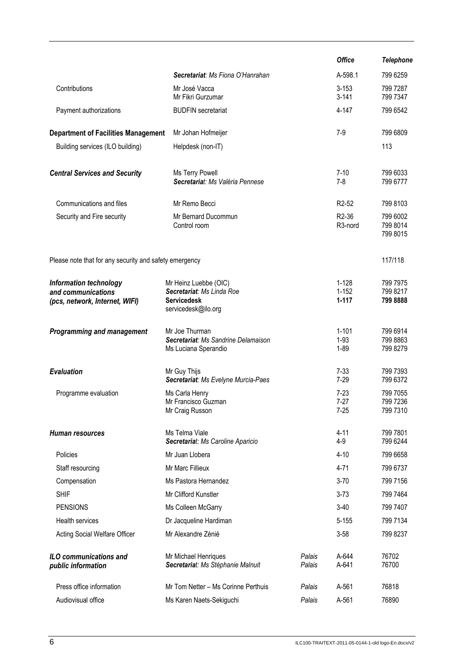|                                                                                |                                                                                                 |                  | <b>Office</b>                             | <b>Telephone</b>                 |
|--------------------------------------------------------------------------------|-------------------------------------------------------------------------------------------------|------------------|-------------------------------------------|----------------------------------|
|                                                                                | Secretariat: Ms Fiona O'Hanrahan                                                                |                  | A-598.1                                   | 799 6259                         |
| Contributions                                                                  | Mr José Vacca<br>Mr Fikri Gurzumar                                                              |                  | $3 - 153$<br>$3 - 141$                    | 799 7287<br>799 7347             |
| Payment authorizations                                                         | <b>BUDFIN</b> secretariat                                                                       |                  | 4-147                                     | 799 6542                         |
| <b>Department of Facilities Management</b>                                     | Mr Johan Hofmeijer                                                                              |                  | 7-9                                       | 799 6809                         |
| Building services (ILO building)                                               | Helpdesk (non-IT)                                                                               |                  |                                           | 113                              |
| <b>Central Services and Security</b>                                           | Ms Terry Powell<br>Secretariat: Ms Valéria Pennese                                              |                  | $7 - 10$<br>$7-8$                         | 799 6033<br>799 6777             |
| Communications and files                                                       | Mr Remo Becci                                                                                   |                  | R <sub>2</sub> -52                        | 799 8103                         |
| Security and Fire security                                                     | Mr Bernard Ducommun<br>Control room                                                             |                  | R <sub>2</sub> -36<br>R <sub>3-nord</sub> | 799 6002<br>799 8014<br>799 8015 |
| Please note that for any security and safety emergency                         |                                                                                                 |                  |                                           | 117/118                          |
| Information technology<br>and communications<br>(pcs, network, Internet, WIFI) | Mr Heinz Luebbe (OIC)<br>Secretariat: Ms Linda Roe<br><b>Servicedesk</b><br>servicedesk@ilo.org |                  | $1 - 128$<br>$1 - 152$<br>$1 - 117$       | 799 7975<br>799 8217<br>799 8888 |
| <b>Programming and management</b>                                              | Mr Joe Thurman<br>Secretariat: Ms Sandrine Delamaison<br>Ms Luciana Sperandio                   |                  | $1 - 101$<br>$1-93$<br>$1 - 89$           | 799 6914<br>799 8863<br>799 8279 |
| <b>Evaluation</b>                                                              | Mr Guy Thijs<br>Secretariat: Ms Evelyne Murcia-Paes                                             |                  | $7-33$<br>$7 - 29$                        | 799 7393<br>799 6372             |
| Programme evaluation                                                           | Ms Carla Henry<br>Mr Francisco Guzman<br>Mr Craig Russon                                        |                  | $7-23$<br>$7 - 27$<br>$7 - 25$            | 799 7055<br>799 7236<br>799 7310 |
| Human resources                                                                | Ms Telma Viale<br>Secretariat: Ms Caroline Aparicio                                             |                  | $4 - 11$<br>$4 - 9$                       | 799 7801<br>799 6244             |
| Policies                                                                       | Mr Juan Llobera                                                                                 |                  | $4 - 10$                                  | 799 6658                         |
| Staff resourcing                                                               | Mr Marc Fillieux                                                                                |                  | $4 - 71$                                  | 799 6737                         |
| Compensation                                                                   | Ms Pastora Hernandez                                                                            |                  | $3 - 70$                                  | 799 7156                         |
| <b>SHIF</b>                                                                    | Mr Clifford Kunstler                                                                            |                  | $3 - 73$                                  | 799 7464                         |
| <b>PENSIONS</b>                                                                | Ms Colleen McGarry                                                                              |                  | $3 - 40$                                  | 799 7407                         |
| Health services                                                                | Dr Jacqueline Hardiman                                                                          |                  | $5 - 155$                                 | 799 7134                         |
| Acting Social Welfare Officer                                                  | Mr Alexandre Zénié                                                                              |                  | $3 - 58$                                  | 799 8237                         |
| ILO communications and<br>public information                                   | Mr Michael Henriques<br>Secretariat: Ms Stéphanie Malnuit                                       | Palais<br>Palais | A-644<br>A-641                            | 76702<br>76700                   |
| Press office information                                                       | Mr Tom Netter - Ms Corinne Perthuis                                                             | Palais           | A-561                                     | 76818                            |
| Audiovisual office                                                             | Ms Karen Naets-Sekiguchi                                                                        | Palais           | A-561                                     | 76890                            |